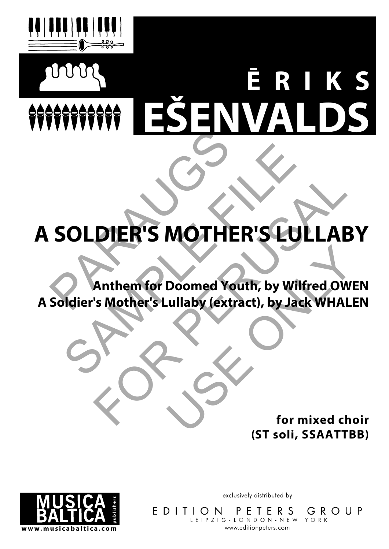

## **ĒRIK S ESSENTIFICALITY**

## **A SOLDIER'S MOTHER'S LULLABY**

SOLDIER'S MOTHER SOLDIER'S MOTHER'S LUL DIER'S MOTHER'S LULLABY Doomed Youth, by Wilfred OWEN<br>
Lullaby (extract), by Jack WHALEN<br>
for mixed choi **Anthem for Doomed Youth, by Wilfred OWEN A Soldier's Mother's Lullaby (extract), by Jack WHALEN**

**for mixed choir (ST soli, SSAATTBB)**



exclusively distributed by

EDITION GROUP PETE R S LEIPZIG · LONDON · NEW YORK www.editionpeters.com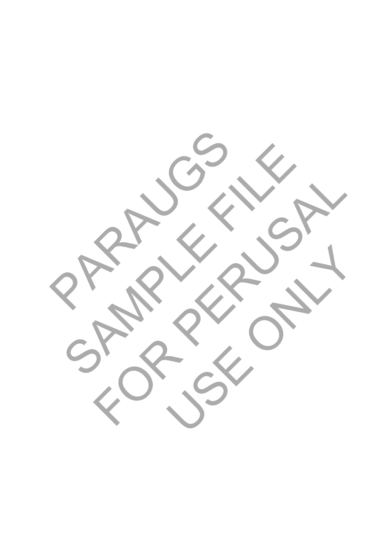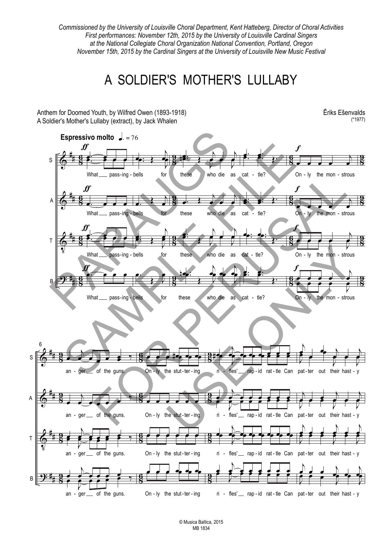*Commissioned by the University of Louisville Choral Department, Kent Hatteberg, Director of Choral Activities First performances: November 12th, 2015 by the University of Louisville Cardinal Singers at the National Collegiate Choral Organization National Convention, Portland, Oregon November 15th, 2015 by the Cardinal Singers at the University of Louisville New Music Festival*

## A SOLDIER'S MOTHER'S LULLABY

PARAUGS  $\frac{3}{2}$ <br>  $\frac{3}{2}$ <br>  $\frac{3}{2}$ <br>  $\frac{3}{2}$ <br>  $\frac{3}{2}$ <br>  $\frac{3}{2}$ <br>  $\frac{3}{2}$ <br>  $\frac{3}{2}$ <br>  $\frac{3}{2}$ <br>  $\frac{3}{2}$ <br>  $\frac{3}{2}$ <br>  $\frac{3}{2}$ <br>  $\frac{3}{2}$ <br>  $\frac{3}{2}$ <br>  $\frac{3}{2}$ <br>  $\frac{3}{2}$ <br>  $\frac{3}{2}$ <br>  $\frac{3}{2}$ <br>  $\frac{3}{2}$ <br>  $\frac{3}{2}$ <br> For passing bets for the same who de as cat - to?<br>
The passing bets for the same who de as cat to?<br>
The passing bets for the same who de as cat to?<br>
The passing bets for the same who de as cat - to?<br>
The passing bets for t USE ONLY  $\Phi$  $\Phi$  $\Phi$  $\overline{\mathbf{P}}$ # # # # # # # # **8 g 8 6 8 6 8 g** 8 <u>ց</u> <u>8</u> 9<br>9 <u>हैं</u> <u>ց</u> <u>ጀ</u> <u>ቃ</u> 8 **g** 8 **6** 8 6 8<br>8 **6** <u>ສູ</u> <u>ց</u> <u>हैं</u> <u>ց</u> <u>हैं</u> <u>ց</u> <u>ئ</u> <u>ց</u> S A T B  $\epsilon$  .  $\epsilon$  ,  $\epsilon$ What equals are pass-ing - bells for . . . . . . What pass-ing - bells for œ œ . œ œ What pass-ing bells for these who die as cat - tle? On - ly the mon -.  $\overline{c}$ . What eass-ing bells for  $\boldsymbol{\mathit{fl}}$ ƒ  $\boldsymbol{\mathit{fJ}}$  $\boldsymbol{\mathit{f}}$ **Espressivo molto**  $\sqrt{a}$ . = 76  $\overrightarrow{e}$  .  $\overrightarrow{e}$ œ  $\bullet$ :  $\leftarrow$   $\bullet$ œ  $\overline{\mathcal{R}}$ œ  $\leftarrow$  $\overline{h}$ œ  $\leftrightarrow$   $\rightarrow$   $\rightarrow$   $\rightarrow$ å œ. Œ Jœ  $\overrightarrow{c}$  $\begin{picture}(10,10) \put(0,0){\line(1,0){155}} \put(15,0){\line(1,0){155}} \put(15,0){\line(1,0){155}} \put(15,0){\line(1,0){155}} \put(15,0){\line(1,0){155}} \put(15,0){\line(1,0){155}} \put(15,0){\line(1,0){155}} \put(15,0){\line(1,0){155}} \put(15,0){\line(1,0){155}} \put(15,0){\line(1,0){155}} \put(15,0){\line(1,0){155}} \$ œ these who die as  $\overline{a}$ J  $\cdot$   $\cdot$   $\cdot$ <sup>œ</sup> <sup>œ</sup> <sup>j</sup> œ these who die as  $\stackrel{\cdot}{\cdot}$  $\overline{b}$  $\begin{pmatrix} 1 & 1 \\ 1 & 1 \end{pmatrix}$ .<br>B these who die as  $\qquad \qquad$ J  $\frac{1}{2}$ . Œ  $\overline{b}$  $\frac{1}{2}$ œ  $-\text{ing}-\text{bells}$  for these who die as cat - tle? On - ly the mon œ. <sup>J</sup>  $\frac{1}{2}$ œ  $\frac{1}{2}$  $-\text{ing}$  - bells for these who die as cat - tle? On - ly the mon- $\frac{e}{2}$  $\overline{\bullet}$ **e.** .  $\frac{1}{2}$ .  $cat - the?$  $\frac{e}{e}$  .  $\frac{e}{e}$  .  $cat - the?$  $\bullet$ :  $\frac{e}{e}$ .  $\frac{e}{e}$ .  $\frac{e}{2}$ .  $\bullet$   $\bullet$   $\bullet$   $\bullet$ œ On -  $ly$  the mon - strous <sup>œ</sup> <sup>œ</sup> <sup>œ</sup> <sup>œ</sup> <sup>j</sup>  $\frac{1}{\log x}$  bells for these who die as cat - tle? On - ly the mon - strous  $\overrightarrow{e}$ œ On  $-$  Iv the mon  $-$  strous J **ED DD** œ On -  $\mathsf{I}$  the mon - strous  $\frac{1}{2}$ é f f f f  $\Phi$  $\Phi$  $\Phi$ <u>.</u> # # # # # # # # <u>ጀ</u> <u>ດຼ</u> <u>ສູ</u> <u><br>የ</u> <u>ສູ</u> <u><br>የ</u> <u>មួ</u> <u>ց</u> 8 **g** 8 **G 8 g 8 g** <u>შ</u> <u>ል</u> 8 9<br>9 <u>हैं</u> <u>ል</u> <u>ጀ</u> <u>ց</u> S B 6  $\Box$ e poster  $\bullet$   $\bullet$ an -  $ger$  of the guns.  $\Box$ œ œ <sup>œ</sup> <sup>œ</sup> <sup>œ</sup> ‰ an -  $ger$  of the guns.  $\overrightarrow{ }$  $\epsilon$   $\epsilon$   $\epsilon$   $\epsilon$   $\epsilon$ an -  $ger$  of the guns.  $\overset{\bullet}{\longrightarrow}$  $\frac{1}{2}$   $\frac{1}{2}$   $\frac{1}{2}$   $\frac{1}{2}$   $\frac{1}{2}$  $\rightarrow$  $rac{pm}{2}$   $rac{pm}{2}$   $rac{pm}{2}$ an -  $ger$  of the guns.  $\frac{1}{\sqrt{2}}$ œ œ œ œ œ  $e^+e^-$ - ger of the guns. On -ly the stut ter ing in fles' rap id rat tle Can pat ter out their hast œ œ œ **. . . . . .** - ger \_ of the guns. On - ly the stut-ter-ing in - fles' \_ rap-id ratœ œ œ œ œ œ - ger \_ of the guns. Cn - ly the stut-ter-ing in - fles' \_ rap-id ratœ œ œ œ œ œ On -  $ly$  the stut-ter-ing œ œ œ  $\overrightarrow{e}$ œ œ œ œ œ œ œ  $ri$  - fles'  $\equiv$  rap - id rat - tle Can  $\frac{4}{7}$  $\frac{1}{2}$ e e e e  $\frac{1}{2}$  $\overrightarrow{r}$  $\frac{1}{2}$   $\frac{1}{2}$   $\frac{1}{2}$   $\frac{1}{2}$   $\frac{1}{2}$   $\frac{1}{2}$   $\frac{1}{2}$ ri - fles' \_ rap - id rat - tle Can pat - ter  $\qquad \qquad \overline{\qquad \qquad }$ œ œ œ œ œ œ œ  $\downarrow$ e e e e e e e ri - fles' \_ rap - id rat - tle Can pat - ter out their hast - y  $\rightarrow$ **w** e<sub>c</sub> e<sub>c</sub> e<sub>c</sub> e<sub>c</sub> e<sub>c</sub>  $\frac{1}{2}$  $\frac{1}{2}$ e e e e e e ger of the guns. On -ly the stut-ter-ing in - fles' and rat tle Can pat ter out their hast - y - - $\overrightarrow{z}$ <mark>e p e e e e e</mark><br>D N  $\frac{1}{2}$  e  $\frac{1}{2}$  e  $\frac{1}{2}$ œ pat-ter out their hast - y J  $\stackrel{)}{\bullet}$ J  $\overrightarrow{p}$ j  $\rightarrow$  e e e  $\leftrightarrow$ œ pat-ter out their hast - y  $\nabla$  $\overline{\phantom{a}}$  $\nabla$ N  $\frac{1}{2}$   $\frac{1}{2}$   $\frac{1}{2}$   $\frac{1}{2}$  $\frac{1}{2}$ œ J <sup>œ</sup> <sup>œ</sup> <sup>œ</sup> <sup>J</sup>  $\frac{e^{2}}{2}$ œ N  $\begin{array}{c} \begin{array}{c} \uparrow \\ \downarrow \end{array} & \downarrow \end{array}$  $\frac{1}{2}$   $\frac{1}{2}$ œ J <sup>œ</sup> <sup>œ</sup> <sup>œ</sup> <sup>J</sup>  $\frac{1}{2}$  eq eq<br> œ Ēriks Ešenvalds (\*1977) Anthem for Doomed Youth, by Wilfred Owen (1893-1918) A Soldier's Mother's Lullaby (extract), by Jack Whalen

A

T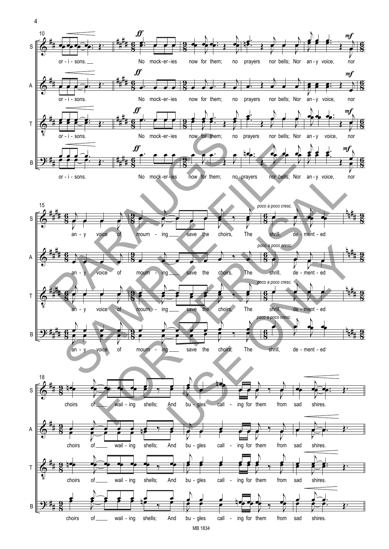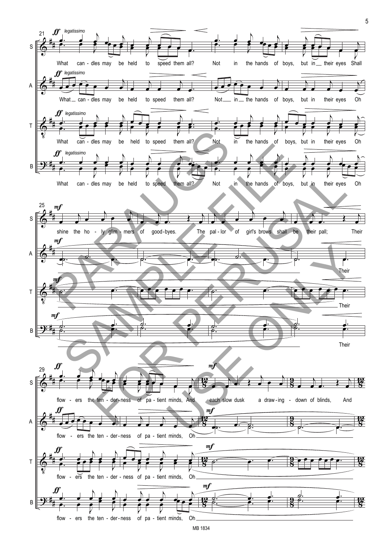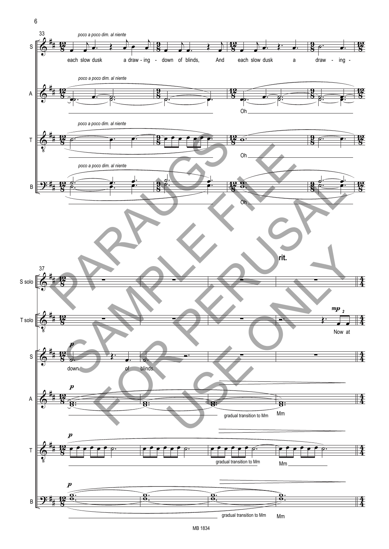PARAUGS SAMPLE FILE FOR PERUSAL USE ONLY &  $\Phi$  $\Phi$ <u>.</u> # # # # # # # # 8 12 8 12 8 12 8 12 <u>ጀ</u> <u><br>የ</u> <u>ጀ</u> <u>ል</u> <u>ጀ</u> <u>ց</u> 8<br>8 <u>9</u> 8 12 8 12 8 12 8 12 <u>ئة</u> <u>ց</u> <u>ئة</u> <u>ց</u> <u>ສູ</u> <u>ց</u> <u>हैं</u> <u>ց</u> 8 12 8 12 8 12 8 12 S A T B 33  $\overrightarrow{ }$ poco a poco dim. al niente<br> **de la componente de la componenta de la componenta de la componenta de la componenta de la componenta de** la compo<br> **de la componenta de la componenta de la componenta de la componenta de la co**  $\rightarrow$ œ each slow dusk  $\frac{1}{\sqrt{2}}$ .  $\overrightarrow{e}$   $\overrightarrow{e}$  $\frac{1}{2}$ .  $\frac{1}{2}$ . *poco a poco dim. al niente poco a poco dim. al niente poco a poco dim. al niente*  $\overrightarrow{ }$  $\theta$ .  $\theta$ . œ - ing - down of blinds, And each slow dusk a draw - ing - $\overrightarrow{e}$ .  $e$   $e$   $e$   $e$   $e$   $e$   $e$   $e$  $\frac{1}{e}$ .  $\overrightarrow{ }$  $\overrightarrow{e}$ .  $\overrightarrow{e}$ . each slow dusk a  $\bullet$   $\bullet$   $\circ$ Oh  $\overline{\cdot}$ .  $\overline{\cdot}$ .  $\dot{\overline{\bullet}}$ Oh  $\frac{6}{9}$ Oh  $\frac{\mathbf{p}}{\mathbf{p}}$  $\overline{\mathscr{C}}$ . draw - ing - $\stackrel{\cdot}{\cdot}$  $\widehat{r}$ . <u>」</u><br>『……  $\spadesuit$  $\Phi$  $\Phi$  $\Phi$  $\Phi$ <u>.</u> # # # # # # # # # # # # 8 12 8 12 8 12 8 12 8 12 8 12 4 4 4 4 4 4 4 4 4 4 4 4 S solo T solo S A T B 37 ∑ ∑  $\overrightarrow{r}$ . down  $\widetilde{\overline{\mathbf{g}}:}$ <del>。</del><br>● ● ● ● ● ● *● ●*  $\widetilde{\mathbf{e}}$ . p  $\boldsymbol{p}$ p p ∑ ∑ ˙. . blinds.  $\overline{\mathbf{p}}$ <mark>e f e f e f</mark> a:  $\overline{\mathbf{e}}$ . ∑ ∑ ∑  $\overline{\mathbf{R}}$ <mark>e € e € e €</mark> ⊘.  $\mathbf{e}$ gradual transition to Mm gradual transition to Mm ∑  $\overrightarrow{r}$  $mp_2$ Now at ∑  $\frac{1}{9}$ Mm œ œ œ œ œ œ ˙. Mm  $\frac{9}{9}$ **rit.**

6

gradual transition to Mm

Mm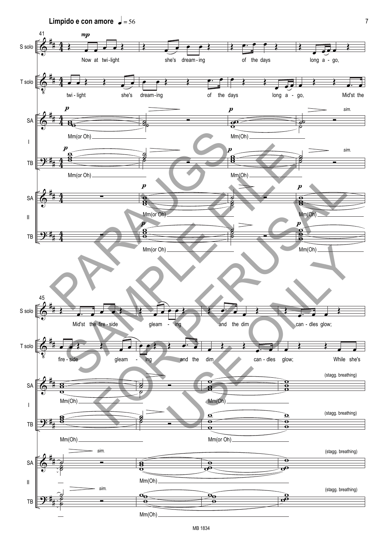**Limpido e con amore**  $\sqrt{ }$  = 56

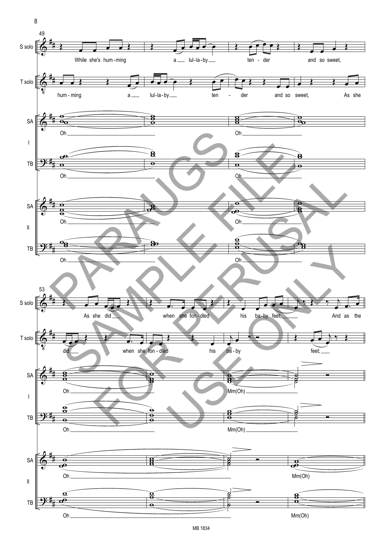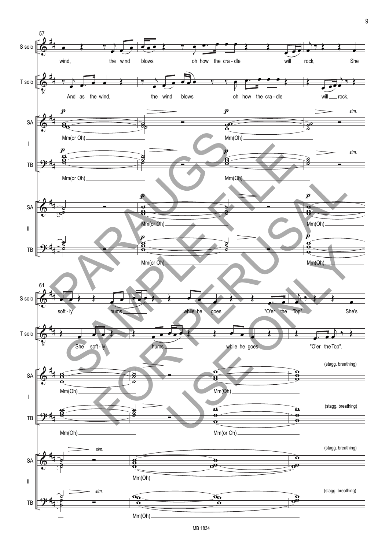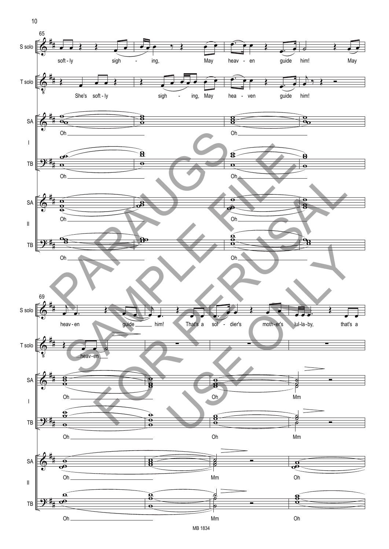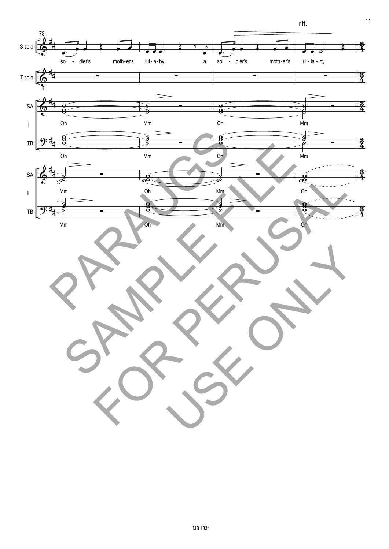**rit.**